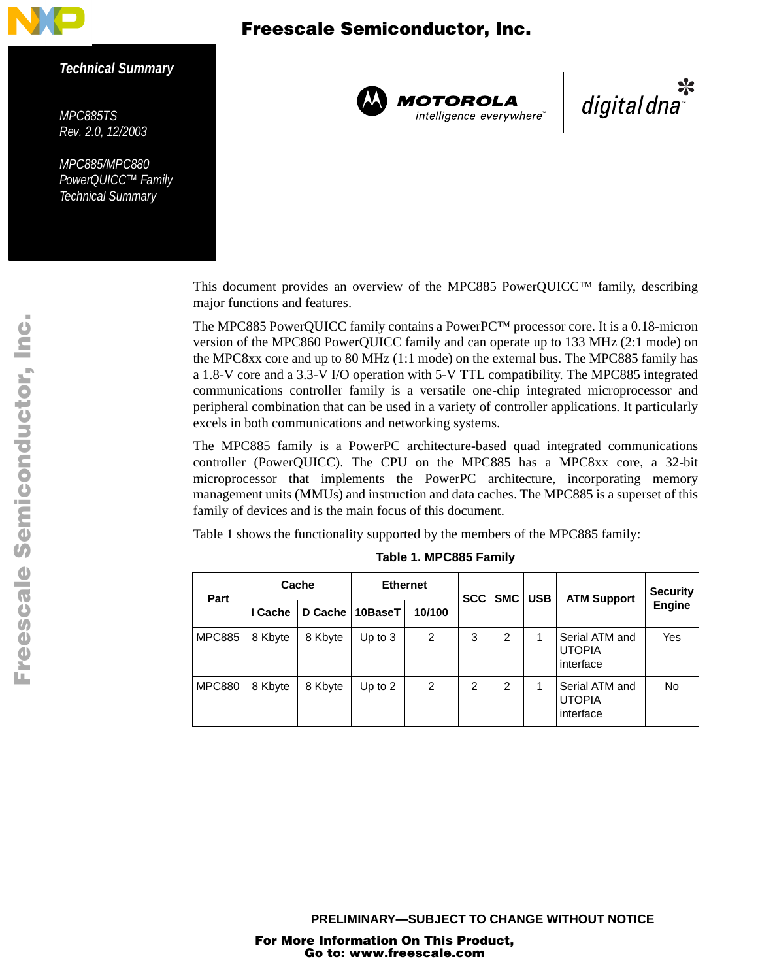

#### *Technical Summary*

<span id="page-0-1"></span>*MPC885TS Rev. 2.0, 12/2003*

*MPC885/MPC880 PowerQUICC™ Family Technical Summary*



**MOTOROLA**<br>intelligence everywhere<sup>\*</sup>

یا digital dna

This document provides an overview of the MPC885 PowerQUICC™ family, describing major functions and features.

The MPC885 PowerQUICC family contains a PowerPC™ processor core. It is a 0.18-micron version of the MPC860 PowerQUICC family and can operate up to 133 MHz (2:1 mode) on the MPC8xx core and up to 80 MHz (1:1 mode) on the external bus. The MPC885 family has a 1.8-V core and a 3.3-V I/O operation with 5-V TTL compatibility. The MPC885 integrated communications controller family is a versatile one-chip integrated microprocessor and peripheral combination that can be used in a variety of controller applications. It particularly excels in both communications and networking systems.

The MPC885 family is a PowerPC architecture-based quad integrated communications controller (PowerQUICC). The CPU on the MPC885 has a MPC8xx core, a 32-bit microprocessor that implements the PowerPC architecture, incorporating memory management units (MMUs) and instruction and data caches. The MPC885 is a superset of this family of devices and is the main focus of this document.

<span id="page-0-0"></span>[Table 1](#page-0-0) shows the functionality supported by the members of the MPC885 family:

| Part          | Cache   |         | <b>Ethernet</b> |                | <b>SCC</b>     | <b>SMC</b>     | <b>USB</b> | <b>ATM Support</b>                           | <b>Security</b> |
|---------------|---------|---------|-----------------|----------------|----------------|----------------|------------|----------------------------------------------|-----------------|
|               | I Cache | D Cache | 10BaseT         | 10/100         |                |                |            |                                              | <b>Engine</b>   |
| <b>MPC885</b> | 8 Kbyte | 8 Kbyte | Up to $3$       | $\overline{2}$ | 3              | $\overline{2}$ | 1          | Serial ATM and<br><b>UTOPIA</b><br>interface | Yes             |
| <b>MPC880</b> | 8 Kbyte | 8 Kbyte | Up to $2$       | 2              | $\overline{2}$ | $\overline{2}$ | 1          | Serial ATM and<br><b>UTOPIA</b><br>interface | <b>No</b>       |

**Table 1. MPC885 Family**

**PRELIMINARY—SUBJECT TO CHANGE WITHOUT NOTICE**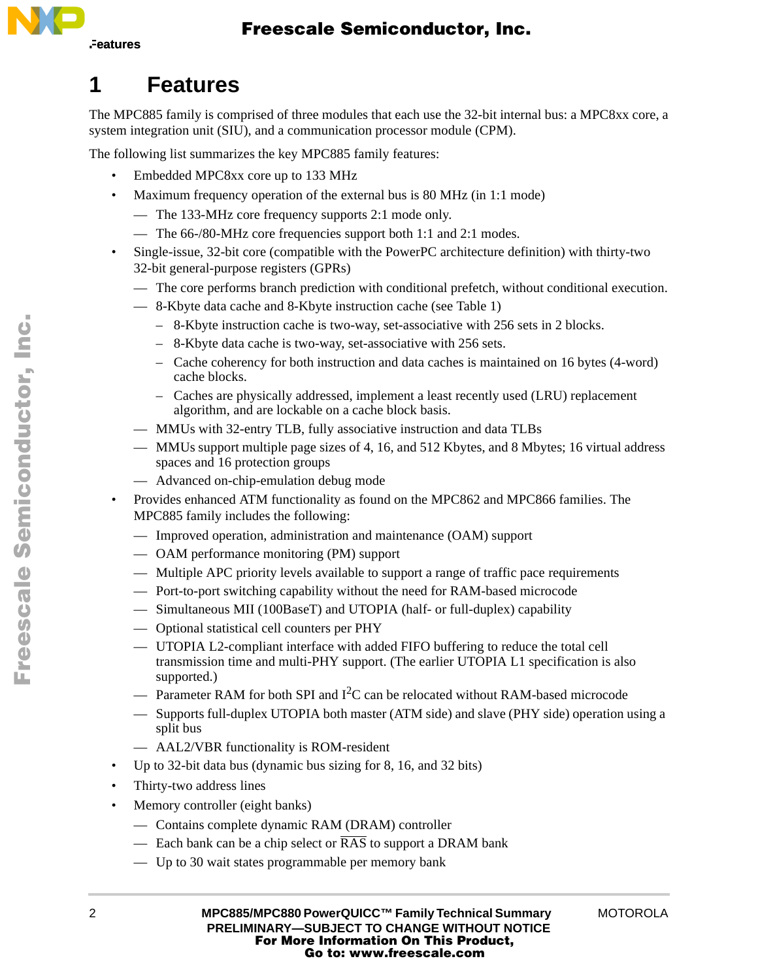

# **1 Features**

The MPC885 family is comprised of three modules that each use the 32-bit internal bus: a MPC8xx core, a system integration unit (SIU), and a communication processor module (CPM).

The following list summarizes the key MPC885 family features:

- Embedded MPC8xx core up to 133 MHz
- Maximum frequency operation of the external bus is 80 MHz (in 1:1 mode)
	- The 133-MHz core frequency supports 2:1 mode only.
	- The 66-/80-MHz core frequencies support both 1:1 and 2:1 modes.
- Single-issue, 32-bit core (compatible with the PowerPC architecture definition) with thirty-two 32-bit general-purpose registers (GPRs)
	- The core performs branch prediction with conditional prefetch, without conditional execution.
	- 8-Kbyte data cache and 8-Kbyte instruction cache (see [Table 1](#page-0-0))
		- 8-Kbyte instruction cache is two-way, set-associative with 256 sets in 2 blocks.
		- 8-Kbyte data cache is two-way, set-associative with 256 sets.
		- Cache coherency for both instruction and data caches is maintained on 16 bytes (4-word) cache blocks.
		- Caches are physically addressed, implement a least recently used (LRU) replacement algorithm, and are lockable on a cache block basis.
	- MMUs with 32-entry TLB, fully associative instruction and data TLBs
	- MMUs support multiple page sizes of 4, 16, and 512 Kbytes, and 8 Mbytes; 16 virtual address spaces and 16 protection groups
	- Advanced on-chip-emulation debug mode
- Provides enhanced ATM functionality as found on the MPC862 and MPC866 families. The MPC885 family includes the following:
	- Improved operation, administration and maintenance (OAM) support
	- OAM performance monitoring (PM) support
	- Multiple APC priority levels available to support a range of traffic pace requirements
	- Port-to-port switching capability without the need for RAM-based microcode
	- Simultaneous MII (100BaseT) and UTOPIA (half- or full-duplex) capability
	- Optional statistical cell counters per PHY
	- UTOPIA L2-compliant interface with added FIFO buffering to reduce the total cell transmission time and multi-PHY support. (The earlier UTOPIA L1 specification is also supported.)
	- $-$  Parameter RAM for both SPI and I<sup>2</sup>C can be relocated without RAM-based microcode
	- Supports full-duplex UTOPIA both master (ATM side) and slave (PHY side) operation using a split bus
	- AAL2/VBR functionality is ROM-resident
- Up to 32-bit data bus (dynamic bus sizing for 8, 16, and 32 bits)
- Thirty-two address lines
- Memory controller (eight banks)
	- Contains complete dynamic RAM (DRAM) controller
	- Each bank can be a chip select or  $\overline{RAS}$  to support a DRAM bank
	- Up to 30 wait states programmable per memory bank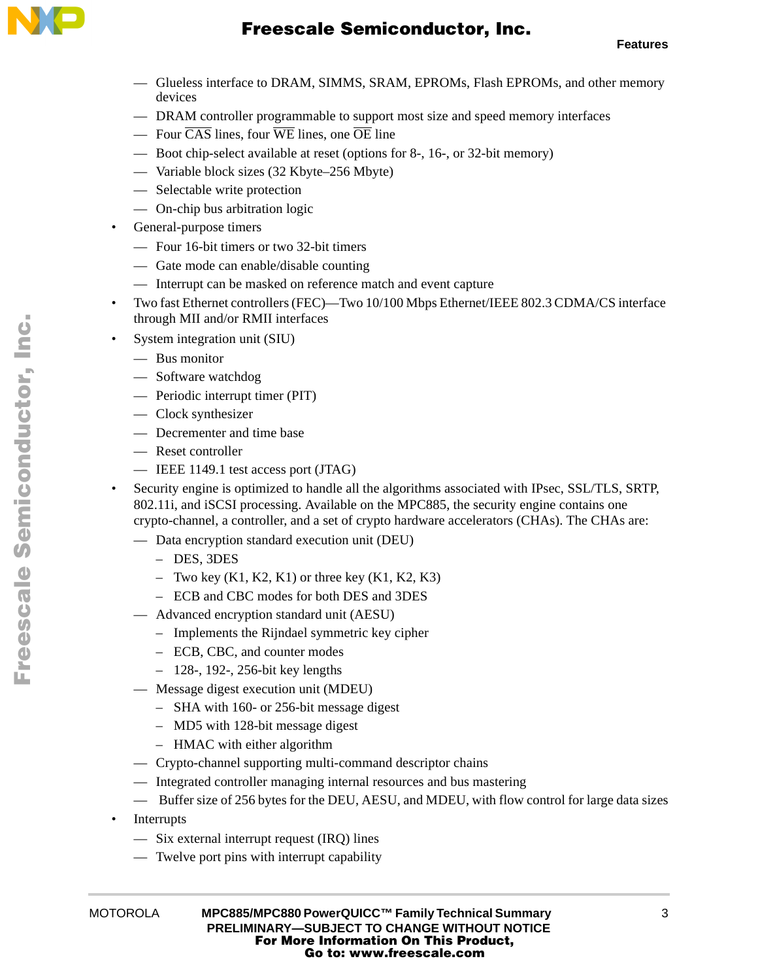

- Glueless interface to DRAM, SIMMS, SRAM, EPROMs, Flash EPROMs, and other memory devices
- DRAM controller programmable to support most size and speed memory interfaces
- Four CAS lines, four WE lines, one OE line
- Boot chip-select available at reset (options for 8-, 16-, or 32-bit memory)
- Variable block sizes (32 Kbyte–256 Mbyte)
- Selectable write protection
- On-chip bus arbitration logic
- General-purpose timers
	- Four 16-bit timers or two 32-bit timers
	- Gate mode can enable/disable counting
	- Interrupt can be masked on reference match and event capture
- Two fast Ethernet controllers (FEC)—Two 10/100 Mbps Ethernet/IEEE 802.3 CDMA/CS interface through MII and/or RMII interfaces
- System integration unit (SIU)
	- Bus monitor
	- Software watchdog
	- Periodic interrupt timer (PIT)
	- Clock synthesizer
	- Decrementer and time base
	- Reset controller
	- IEEE 1149.1 test access port (JTAG)
- Security engine is optimized to handle all the algorithms associated with IPsec, SSL/TLS, SRTP, 802.11i, and iSCSI processing. Available on the MPC885, the security engine contains one crypto-channel, a controller, and a set of crypto hardware accelerators (CHAs). The CHAs are:
	- Data encryption standard execution unit (DEU)
		- DES, 3DES
		- Two key  $(K1, K2, K1)$  or three key  $(K1, K2, K3)$
		- ECB and CBC modes for both DES and 3DES
	- Advanced encryption standard unit (AESU)
		- Implements the Rijndael symmetric key cipher
		- ECB, CBC, and counter modes
		- 128-, 192-, 256-bit key lengths
	- Message digest execution unit (MDEU)
		- SHA with 160- or 256-bit message digest
		- MD5 with 128-bit message digest
		- HMAC with either algorithm
	- Crypto-channel supporting multi-command descriptor chains
	- Integrated controller managing internal resources and bus mastering
	- Buffer size of 256 bytes for the DEU, AESU, and MDEU, with flow control for large data sizes
- Interrupts
	- Six external interrupt request (IRQ) lines
	- Twelve port pins with interrupt capability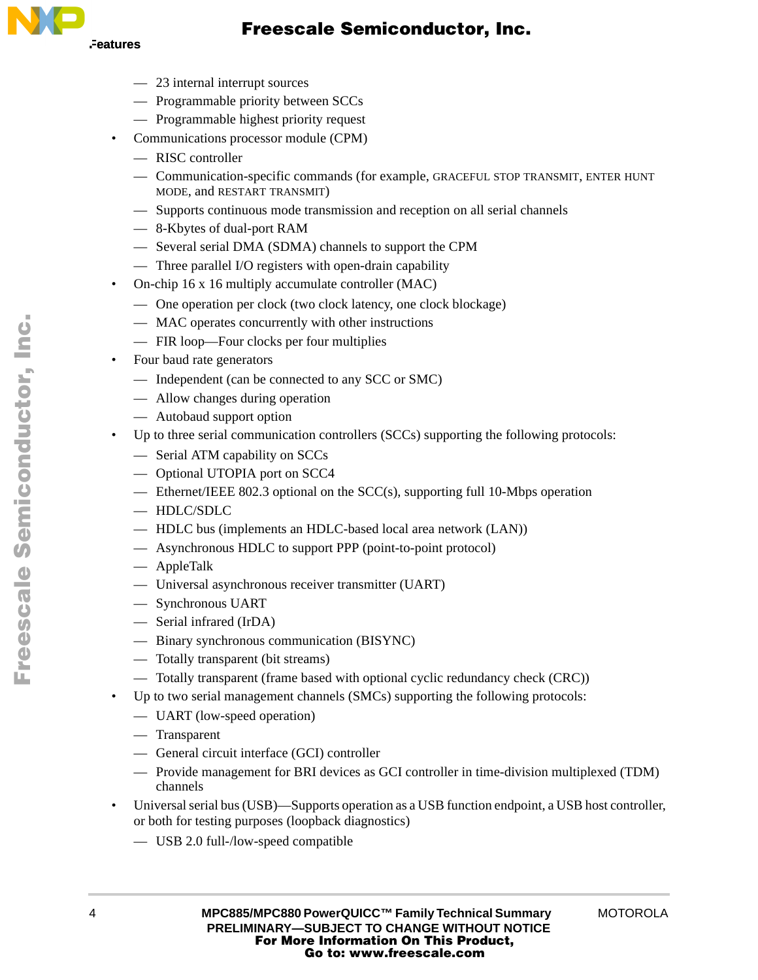

- 23 internal interrupt sources
- Programmable priority between SCCs
- Programmable highest priority request
- Communications processor module (CPM)
	- RISC controller
	- Communication-specific commands (for example, GRACEFUL STOP TRANSMIT, ENTER HUNT MODE, and RESTART TRANSMIT)
	- Supports continuous mode transmission and reception on all serial channels
	- 8-Kbytes of dual-port RAM
	- Several serial DMA (SDMA) channels to support the CPM
	- Three parallel I/O registers with open-drain capability
- On-chip 16 x 16 multiply accumulate controller (MAC)
	- One operation per clock (two clock latency, one clock blockage)
	- MAC operates concurrently with other instructions
	- FIR loop—Four clocks per four multiplies
- Four baud rate generators
	- Independent (can be connected to any SCC or SMC)
	- Allow changes during operation
	- Autobaud support option
- Up to three serial communication controllers (SCCs) supporting the following protocols:
	- Serial ATM capability on SCCs
	- Optional UTOPIA port on SCC4
	- Ethernet/IEEE 802.3 optional on the SCC(s), supporting full 10-Mbps operation
	- HDLC/SDLC
	- HDLC bus (implements an HDLC-based local area network (LAN))
	- Asynchronous HDLC to support PPP (point-to-point protocol)
	- AppleTalk
	- Universal asynchronous receiver transmitter (UART)
	- Synchronous UART
	- Serial infrared (IrDA)
	- Binary synchronous communication (BISYNC)
	- Totally transparent (bit streams)
	- Totally transparent (frame based with optional cyclic redundancy check (CRC))
- Up to two serial management channels (SMCs) supporting the following protocols:
	- UART (low-speed operation)
	- Transparent
	- General circuit interface (GCI) controller
	- Provide management for BRI devices as GCI controller in time-division multiplexed (TDM) channels
- Universal serial bus (USB)—Supports operation as a USB function endpoint, a USB host controller, or both for testing purposes (loopback diagnostics)
	- USB 2.0 full-/low-speed compatible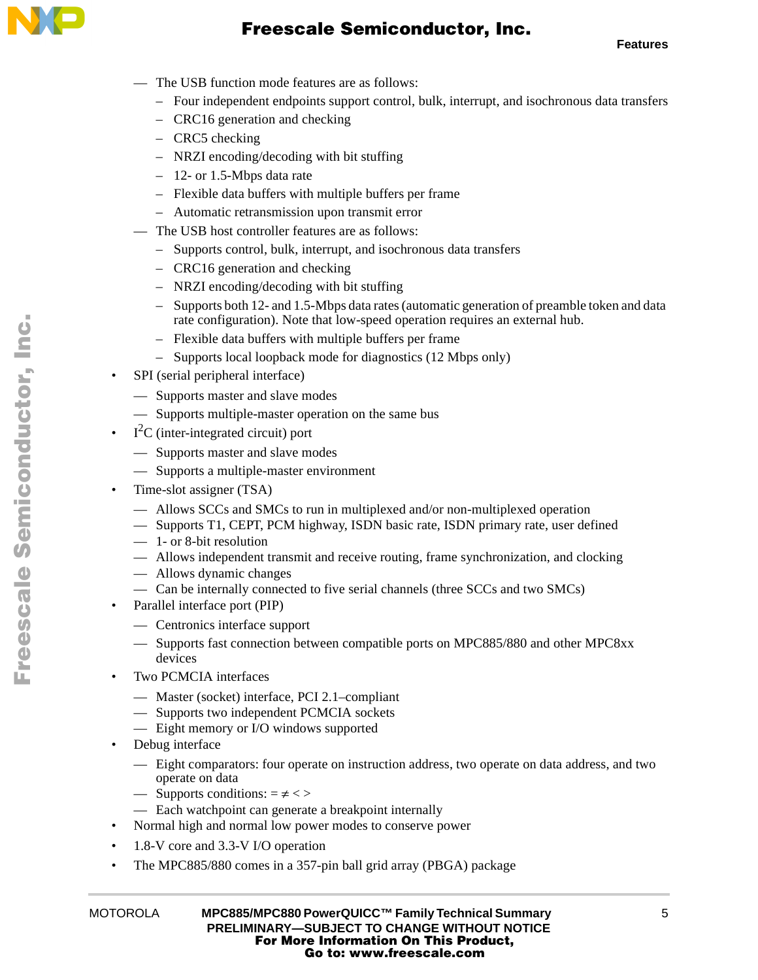

**Features**

- The USB function mode features are as follows:
	- Four independent endpoints support control, bulk, interrupt, and isochronous data transfers
	- CRC16 generation and checking
	- CRC5 checking
	- NRZI encoding/decoding with bit stuffing
	- 12- or 1.5-Mbps data rate
	- Flexible data buffers with multiple buffers per frame
	- Automatic retransmission upon transmit error
- The USB host controller features are as follows:
	- Supports control, bulk, interrupt, and isochronous data transfers
	- CRC16 generation and checking
	- NRZI encoding/decoding with bit stuffing
	- Supports both 12- and 1.5-Mbps data rates (automatic generation of preamble token and data rate configuration). Note that low-speed operation requires an external hub.
	- Flexible data buffers with multiple buffers per frame
	- Supports local loopback mode for diagnostics (12 Mbps only)
- SPI (serial peripheral interface)
	- Supports master and slave modes
	- Supports multiple-master operation on the same bus
- $I<sup>2</sup>C$  (inter-integrated circuit) port
	- Supports master and slave modes
	- Supports a multiple-master environment
- Time-slot assigner (TSA)
	- Allows SCCs and SMCs to run in multiplexed and/or non-multiplexed operation
	- Supports T1, CEPT, PCM highway, ISDN basic rate, ISDN primary rate, user defined
	- 1- or 8-bit resolution
	- Allows independent transmit and receive routing, frame synchronization, and clocking
	- Allows dynamic changes
	- Can be internally connected to five serial channels (three SCCs and two SMCs)
- Parallel interface port (PIP)
	- Centronics interface support
	- Supports fast connection between compatible ports on MPC885/880 and other MPC8xx devices
- Two PCMCIA interfaces
	- Master (socket) interface, PCI 2.1–compliant
	- Supports two independent PCMCIA sockets
	- Eight memory or I/O windows supported
- Debug interface
	- Eight comparators: four operate on instruction address, two operate on data address, and two operate on data
	- Supports conditions:  $= \ne \lt$
	- Each watchpoint can generate a breakpoint internally
- Normal high and normal low power modes to conserve power
- 1.8-V core and 3.3-V I/O operation
- The MPC885/880 comes in a 357-pin ball grid array (PBGA) package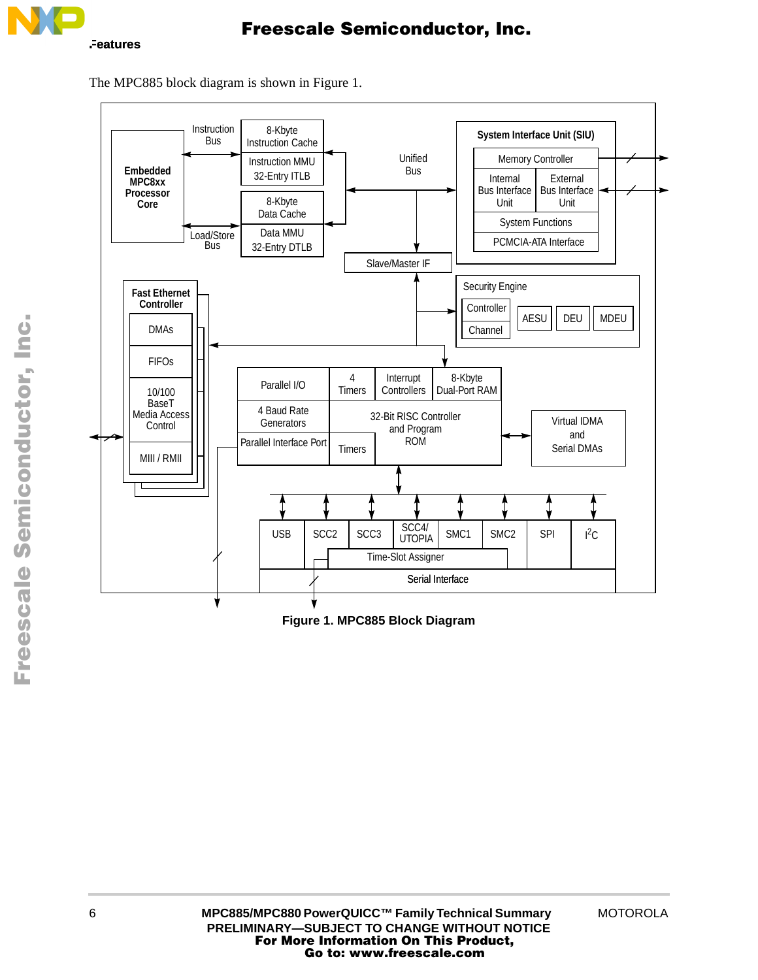

The MPC885 block diagram is shown in [Figure 1.](#page-5-0)



<span id="page-5-0"></span>**Figure 1. MPC885 Block Diagram**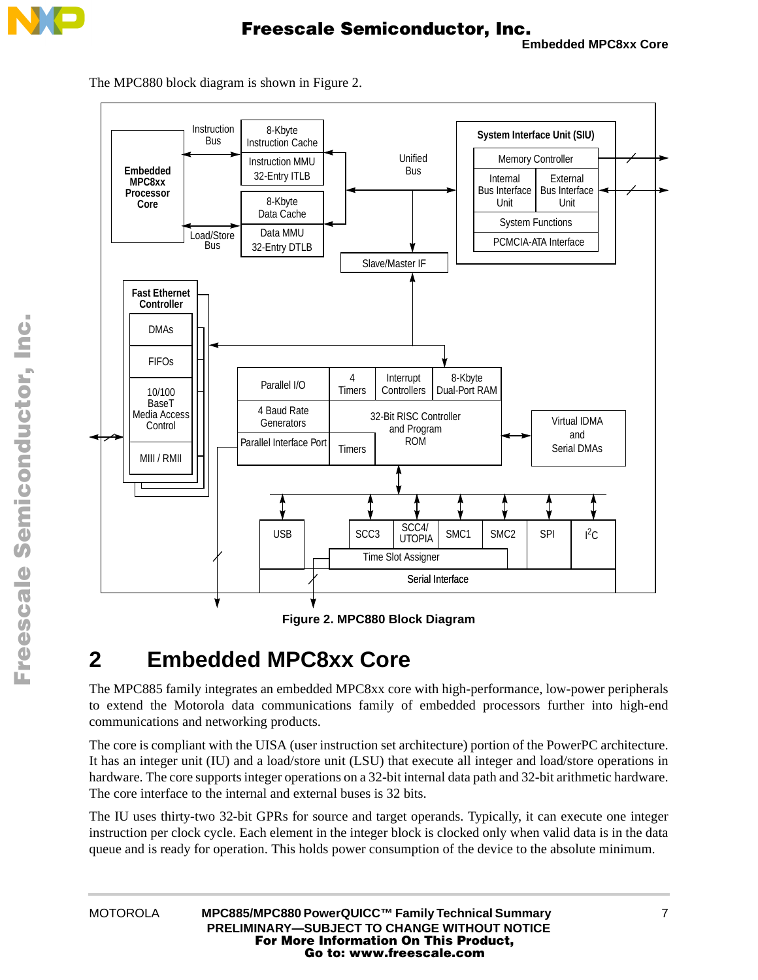



The MPC880 block diagram is shown in [Figure 2.](#page-6-0)



# <span id="page-6-0"></span>**2 Embedded MPC8xx Core**

The MPC885 family integrates an embedded MPC8xx core with high-performance, low-power peripherals to extend the Motorola data communications family of embedded processors further into high-end communications and networking products.

The core is compliant with the UISA (user instruction set architecture) portion of the PowerPC architecture. It has an integer unit (IU) and a load/store unit (LSU) that execute all integer and load/store operations in hardware. The core supports integer operations on a 32-bit internal data path and 32-bit arithmetic hardware. The core interface to the internal and external buses is 32 bits.

The IU uses thirty-two 32-bit GPRs for source and target operands. Typically, it can execute one integer instruction per clock cycle. Each element in the integer block is clocked only when valid data is in the data queue and is ready for operation. This holds power consumption of the device to the absolute minimum.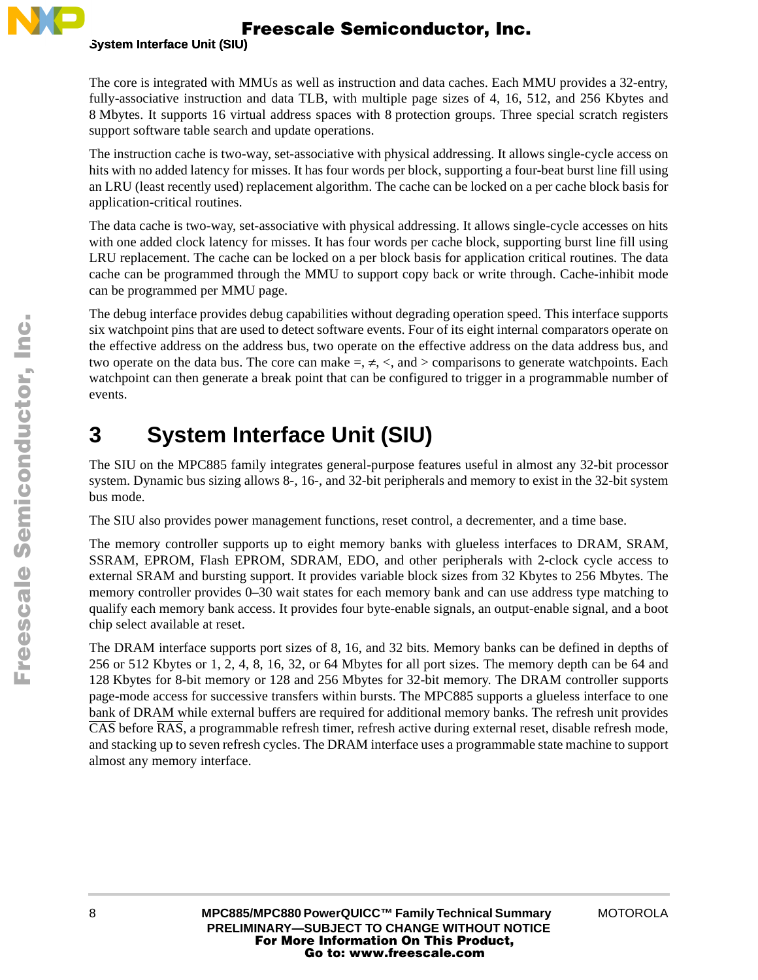

The core is integrated with MMUs as well as instruction and data caches. Each MMU provides a 32-entry, fully-associative instruction and data TLB, with multiple page sizes of 4, 16, 512, and 256 Kbytes and 8 Mbytes. It supports 16 virtual address spaces with 8 protection groups. Three special scratch registers support software table search and update operations.

The instruction cache is two-way, set-associative with physical addressing. It allows single-cycle access on hits with no added latency for misses. It has four words per block, supporting a four-beat burst line fill using an LRU (least recently used) replacement algorithm. The cache can be locked on a per cache block basis for application-critical routines.

The data cache is two-way, set-associative with physical addressing. It allows single-cycle accesses on hits with one added clock latency for misses. It has four words per cache block, supporting burst line fill using LRU replacement. The cache can be locked on a per block basis for application critical routines. The data cache can be programmed through the MMU to support copy back or write through. Cache-inhibit mode can be programmed per MMU page.

The debug interface provides debug capabilities without degrading operation speed. This interface supports six watchpoint pins that are used to detect software events. Four of its eight internal comparators operate on the effective address on the address bus, two operate on the effective address on the data address bus, and two operate on the data bus. The core can make  $=$ ,  $\neq$ ,  $\lt$ , and  $>$  comparisons to generate watchpoints. Each watchpoint can then generate a break point that can be configured to trigger in a programmable number of events.

# **3 System Interface Unit (SIU)**

The SIU on the MPC885 family integrates general-purpose features useful in almost any 32-bit processor system. Dynamic bus sizing allows 8-, 16-, and 32-bit peripherals and memory to exist in the 32-bit system bus mode.

The SIU also provides power management functions, reset control, a decrementer, and a time base.

The memory controller supports up to eight memory banks with glueless interfaces to DRAM, SRAM, SSRAM, EPROM, Flash EPROM, SDRAM, EDO, and other peripherals with 2-clock cycle access to external SRAM and bursting support. It provides variable block sizes from 32 Kbytes to 256 Mbytes. The memory controller provides 0–30 wait states for each memory bank and can use address type matching to qualify each memory bank access. It provides four byte-enable signals, an output-enable signal, and a boot chip select available at reset.

The DRAM interface supports port sizes of 8, 16, and 32 bits. Memory banks can be defined in depths of 256 or 512 Kbytes or 1, 2, 4, 8, 16, 32, or 64 Mbytes for all port sizes. The memory depth can be 64 and 128 Kbytes for 8-bit memory or 128 and 256 Mbytes for 32-bit memory. The DRAM controller supports page-mode access for successive transfers within bursts. The MPC885 supports a glueless interface to one bank of DRAM while external buffers are required for additional memory banks. The refresh unit provides CAS before RAS, a programmable refresh timer, refresh active during external reset, disable refresh mode, and stacking up to seven refresh cycles. The DRAM interface uses a programmable state machine to support almost any memory interface.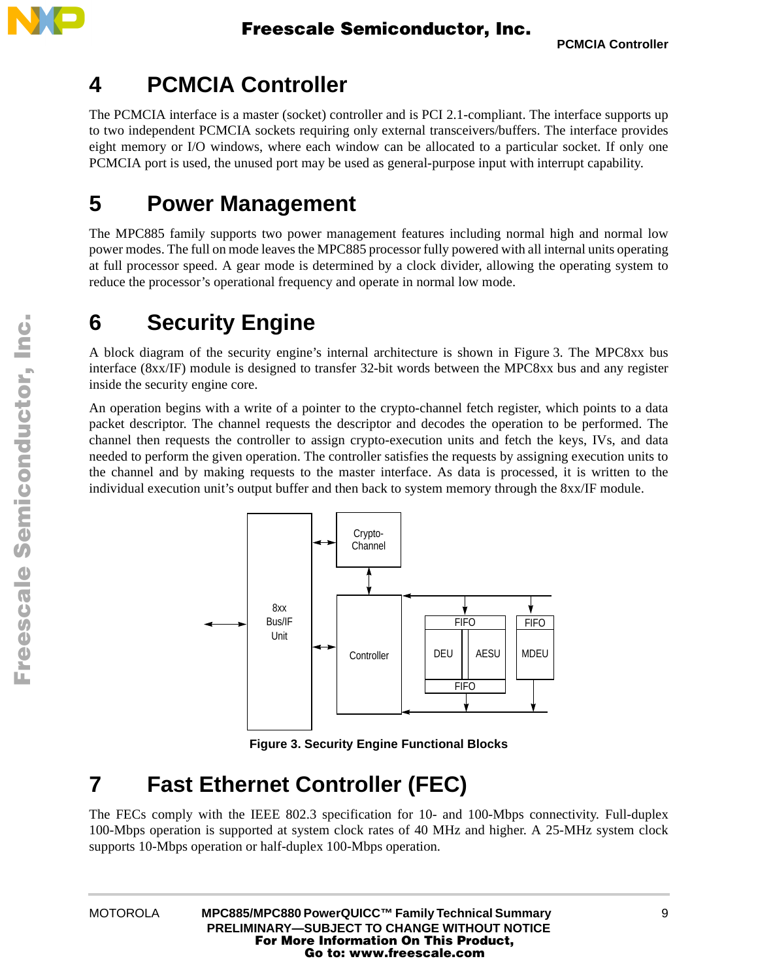

### **4 PCMCIA Controller**

The PCMCIA interface is a master (socket) controller and is PCI 2.1-compliant. The interface supports up to two independent PCMCIA sockets requiring only external transceivers/buffers. The interface provides eight memory or I/O windows, where each window can be allocated to a particular socket. If only one PCMCIA port is used, the unused port may be used as general-purpose input with interrupt capability.

### **5 Power Management**

The MPC885 family supports two power management features including normal high and normal low power modes. The full on mode leaves the MPC885 processor fully powered with all internal units operating at full processor speed. A gear mode is determined by a clock divider, allowing the operating system to reduce the processor's operational frequency and operate in normal low mode.

## **6 Security Engine**

A block diagram of the security engine's internal architecture is shown in [Figure 3](#page-8-0). The MPC8xx bus interface (8xx/IF) module is designed to transfer 32-bit words between the MPC8xx bus and any register inside the security engine core.

An operation begins with a write of a pointer to the crypto-channel fetch register, which points to a data packet descriptor. The channel requests the descriptor and decodes the operation to be performed. The channel then requests the controller to assign crypto-execution units and fetch the keys, IVs, and data needed to perform the given operation. The controller satisfies the requests by assigning execution units to the channel and by making requests to the master interface. As data is processed, it is written to the individual execution unit's output buffer and then back to system memory through the 8xx/IF module.



**Figure 3. Security Engine Functional Blocks**

## <span id="page-8-0"></span>**7 Fast Ethernet Controller (FEC)**

The FECs comply with the IEEE 802.3 specification for 10- and 100-Mbps connectivity. Full-duplex 100-Mbps operation is supported at system clock rates of 40 MHz and higher. A 25-MHz system clock supports 10-Mbps operation or half-duplex 100-Mbps operation.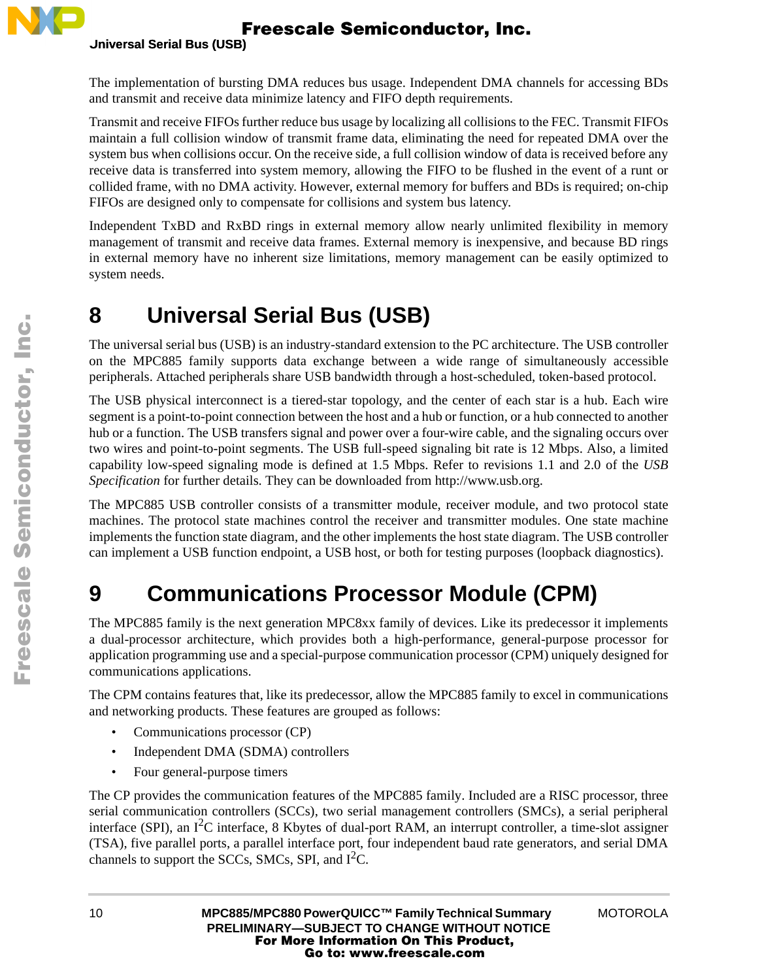

The implementation of bursting DMA reduces bus usage. Independent DMA channels for accessing BDs and transmit and receive data minimize latency and FIFO depth requirements.

Transmit and receive FIFOs further reduce bus usage by localizing all collisions to the FEC. Transmit FIFOs maintain a full collision window of transmit frame data, eliminating the need for repeated DMA over the system bus when collisions occur. On the receive side, a full collision window of data is received before any receive data is transferred into system memory, allowing the FIFO to be flushed in the event of a runt or collided frame, with no DMA activity. However, external memory for buffers and BDs is required; on-chip FIFOs are designed only to compensate for collisions and system bus latency.

Independent TxBD and RxBD rings in external memory allow nearly unlimited flexibility in memory management of transmit and receive data frames. External memory is inexpensive, and because BD rings in external memory have no inherent size limitations, memory management can be easily optimized to system needs.

### <span id="page-9-0"></span>**8 Universal Serial Bus (USB)**

The universal serial bus (USB) is an industry-standard extension to the PC architecture. The USB controller on the MPC885 family supports data exchange between a wide range of simultaneously accessible peripherals. Attached peripherals share USB bandwidth through a host-scheduled, token-based protocol.

The USB physical interconnect is a tiered-star topology, and the center of each star is a hub. Each wire segment is a point-to-point connection between the host and a hub or function, or a hub connected to another hub or a function. The USB transfers signal and power over a four-wire cable, and the signaling occurs over two wires and point-to-point segments. The USB full-speed signaling bit rate is 12 Mbps. Also, a limited capability low-speed signaling mode is defined at 1.5 Mbps. Refer to revisions 1.1 and 2.0 of the *USB Specification* for further details. They can be downloaded from http://www.usb.org.

The MPC885 USB controller consists of a transmitter module, receiver module, and two protocol state machines. The protocol state machines control the receiver and transmitter modules. One state machine implements the function state diagram, and the other implements the host state diagram. The USB controller can implement a USB function endpoint, a USB host, or both for testing purposes (loopback diagnostics).

# **9 Communications Processor Module (CPM)**

The MPC885 family is the next generation MPC8xx family of devices. Like its predecessor it implements a dual-processor architecture, which provides both a high-performance, general-purpose processor for application programming use and a special-purpose communication processor (CPM) uniquely designed for communications applications.

The CPM contains features that, like its predecessor, allow the MPC885 family to excel in communications and networking products. These features are grouped as follows:

- Communications processor (CP)
- Independent DMA (SDMA) controllers
- Four general-purpose timers

The CP provides the communication features of the MPC885 family. Included are a RISC processor, three serial communication controllers (SCCs), two serial management controllers (SMCs), a serial peripheral interface (SPI), an I<sup>2</sup>C interface, 8 Kbytes of dual-port RAM, an interrupt controller, a time-slot assigner (TSA), five parallel ports, a parallel interface port, four independent baud rate generators, and serial DMA channels to support the SCCs, SMCs, SPI, and  $I<sup>2</sup>C$ .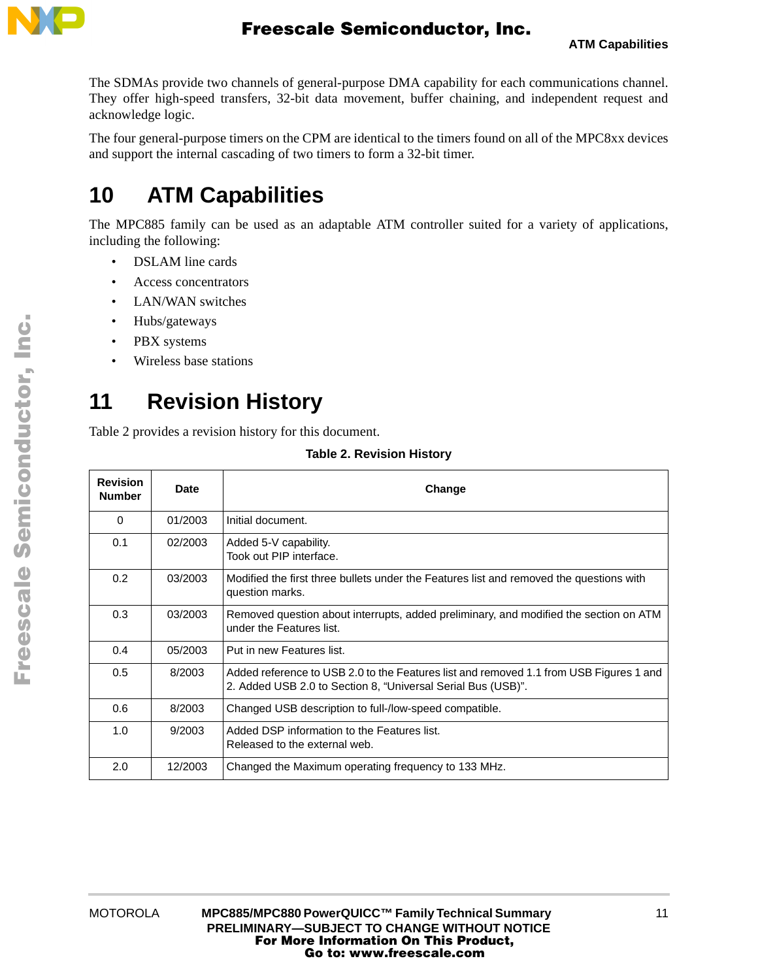

The SDMAs provide two channels of general-purpose DMA capability for each communications channel. They offer high-speed transfers, 32-bit data movement, buffer chaining, and independent request and acknowledge logic.

The four general-purpose timers on the CPM are identical to the timers found on all of the MPC8xx devices and support the internal cascading of two timers to form a 32-bit timer.

## **10 ATM Capabilities**

The MPC885 family can be used as an adaptable ATM controller suited for a variety of applications, including the following:

- DSLAM line cards
- Access concentrators
- LAN/WAN switches
- Hubs/gateways
- PBX systems
- Wireless base stations

## **11 Revision History**

<span id="page-10-0"></span>[Table 2](#page-10-0) provides a revision history for this document.

| <b>Revision</b><br><b>Number</b> | Date    | Change                                                                                                                                                 |  |
|----------------------------------|---------|--------------------------------------------------------------------------------------------------------------------------------------------------------|--|
| 0                                | 01/2003 | Initial document.                                                                                                                                      |  |
| 0.1                              | 02/2003 | Added 5-V capability.<br>Took out PIP interface.                                                                                                       |  |
| 0.2                              | 03/2003 | Modified the first three bullets under the Features list and removed the questions with<br>question marks.                                             |  |
| 0.3                              | 03/2003 | Removed question about interrupts, added preliminary, and modified the section on ATM<br>under the Features list.                                      |  |
| 0.4                              | 05/2003 | Put in new Features list.                                                                                                                              |  |
| 0.5                              | 8/2003  | Added reference to USB 2.0 to the Features list and removed 1.1 from USB Figures 1 and<br>2. Added USB 2.0 to Section 8, "Universal Serial Bus (USB)". |  |
| 0.6                              | 8/2003  | Changed USB description to full-/low-speed compatible.                                                                                                 |  |
| 1.0                              | 9/2003  | Added DSP information to the Features list.<br>Released to the external web.                                                                           |  |
| 2.0                              | 12/2003 | Changed the Maximum operating frequency to 133 MHz.                                                                                                    |  |